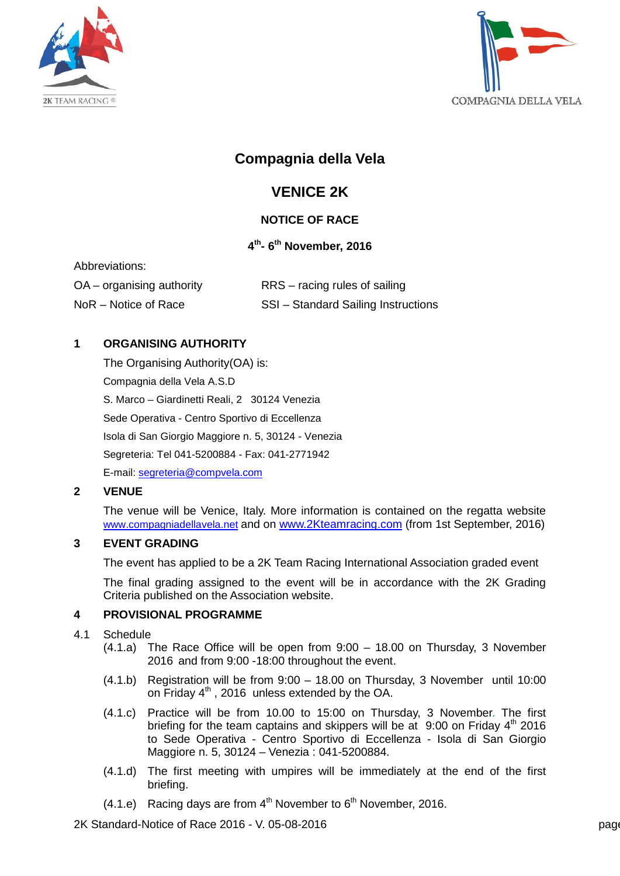



# **Compagnia della Vela**

# **VENICE 2K**

# **NOTICE OF RACE**

# **4th- 6th November, 2016**

| Abbreviations:              |                                     |
|-----------------------------|-------------------------------------|
| $OA -$ organising authority | RRS – racing rules of sailing       |
| NoR – Notice of Race        | SSI - Standard Sailing Instructions |

# **1 ORGANISING AUTHORITY**

The Organising Authority(OA) is: Compagnia della Vela A.S.D S. Marco – Giardinetti Reali, 2 30124 Venezia Sede Operativa - Centro Sportivo di Eccellenza Isola di San Giorgio Maggiore n. 5, 30124 - Venezia Segreteria: Tel 041-5200884 - Fax: 041-2771942 E-mail: [segreteria@compvela.com](mailto:segreteria@compvela.com)

# **2 VENUE**

The venue will be Venice, Italy. More information is contained on the regatta website [www.compagniadellavela.net](http://www.compagniadellavela.net/) and on [www.2Kteamracing.com](http://www.2kteamracing.com./) (from 1st September, 2016)

#### **3 EVENT GRADING**

The event has applied to be a 2K Team Racing International Association graded event

The final grading assigned to the event will be in accordance with the 2K Grading Criteria published on the Association website.

# **4 PROVISIONAL PROGRAMME**

- 4.1 Schedule
	- (4.1.a) The Race Office will be open from 9:00 18.00 on Thursday, 3 November 2016 and from 9:00 -18:00 throughout the event.
	- (4.1.b) Registration will be from 9:00 18.00 on Thursday, 3 November until 10:00 on Friday  $4<sup>th</sup>$ , 2016 unless extended by the OA.
	- (4.1.c) Practice will be from 10.00 to 15:00 on Thursday, 3 November. The first briefing for the team captains and skippers will be at  $9:00$  on Friday  $4<sup>th</sup>$  2016 to Sede Operativa - Centro Sportivo di Eccellenza - Isola di San Giorgio Maggiore n. 5, 30124 – Venezia : 041-5200884.
	- (4.1.d) The first meeting with umpires will be immediately at the end of the first briefing.
	- $(4.1.e)$  Racing days are from  $4<sup>th</sup>$  November to  $6<sup>th</sup>$  November, 2016.

2K Standard-Notice of Race 2016 - V. 05-08-2016 **page 128 Standard-Notice of Race 2016** - V. 05-08-2016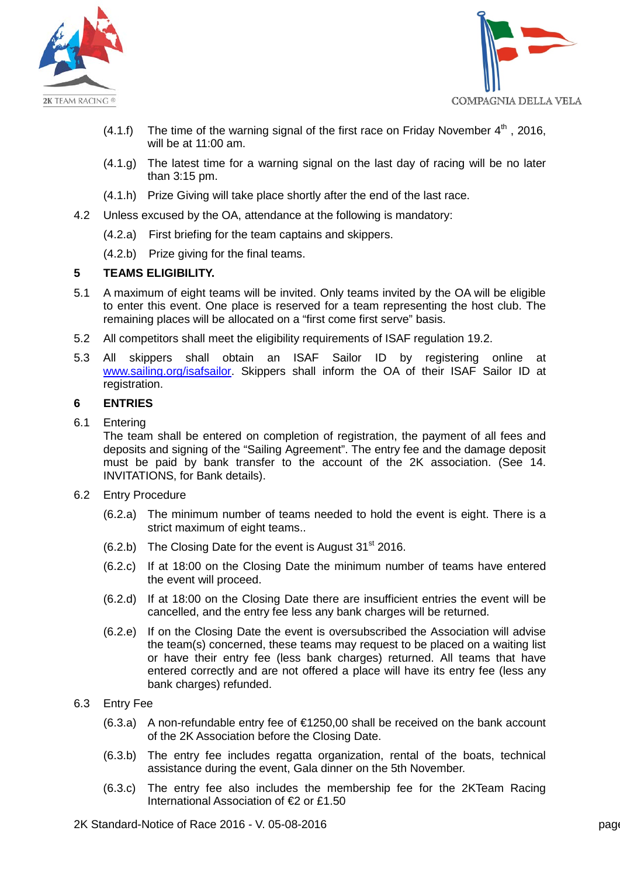



- (4.1.f) The time of the warning signal of the first race on Friday November  $4<sup>th</sup>$ , 2016, will be at 11:00 am.
- (4.1.g) The latest time for a warning signal on the last day of racing will be no later than 3:15 pm.
- (4.1.h) Prize Giving will take place shortly after the end of the last race.
- 4.2 Unless excused by the OA, attendance at the following is mandatory:
	- (4.2.a) First briefing for the team captains and skippers.
	- (4.2.b) Prize giving for the final teams.

### **5 TEAMS ELIGIBILITY.**

- 5.1 A maximum of eight teams will be invited. Only teams invited by the OA will be eligible to enter this event. One place is reserved for a team representing the host club. The remaining places will be allocated on a "first come first serve" basis.
- 5.2 All competitors shall meet the eligibility requirements of ISAF regulation 19.2.
- 5.3 All skippers shall obtain an ISAF Sailor ID by registering online at [www.sailing.org/isafsailor.](http://www.sailing.org/isafsailor) Skippers shall inform the OA of their ISAF Sailor ID at registration.

### **6 ENTRIES**

6.1 Entering

The team shall be entered on completion of registration, the payment of all fees and deposits and signing of the "Sailing Agreement". The entry fee and the damage deposit must be paid by bank transfer to the account of the 2K association. (See 14. INVITATIONS, for Bank details).

- 6.2 Entry Procedure
	- (6.2.a) The minimum number of teams needed to hold the event is eight. There is a strict maximum of eight teams..
	- $(6.2.b)$  The Closing Date for the event is August 31<sup>st</sup> 2016.
	- (6.2.c) If at 18:00 on the Closing Date the minimum number of teams have entered the event will proceed.
	- (6.2.d) If at 18:00 on the Closing Date there are insufficient entries the event will be cancelled, and the entry fee less any bank charges will be returned.
	- (6.2.e) If on the Closing Date the event is oversubscribed the Association will advise the team(s) concerned, these teams may request to be placed on a waiting list or have their entry fee (less bank charges) returned. All teams that have entered correctly and are not offered a place will have its entry fee (less any bank charges) refunded.
- 6.3 Entry Fee
	- $(6.3.a)$  A non-refundable entry fee of  $E$ 1250,00 shall be received on the bank account of the 2K Association before the Closing Date.
	- (6.3.b) The entry fee includes regatta organization, rental of the boats, technical assistance during the event, Gala dinner on the 5th November.
	- (6.3.c) The entry fee also includes the membership fee for the 2KTeam Racing International Association of €2 or £1.50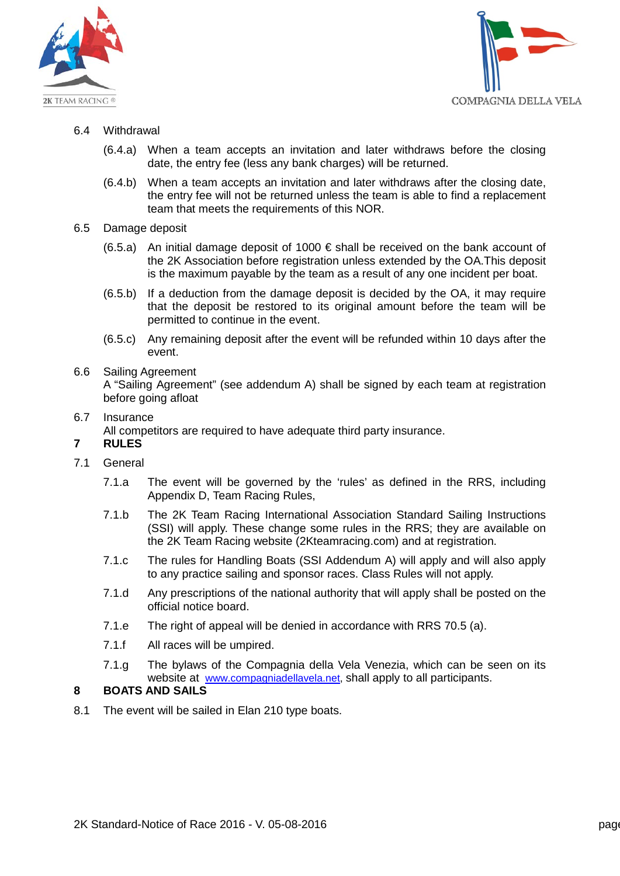



- 6.4 Withdrawal
	- (6.4.a) When a team accepts an invitation and later withdraws before the closing date, the entry fee (less any bank charges) will be returned.
	- (6.4.b) When a team accepts an invitation and later withdraws after the closing date, the entry fee will not be returned unless the team is able to find a replacement team that meets the requirements of this NOR.
- 6.5 Damage deposit
	- (6.5.a) An initial damage deposit of 1000  $\epsilon$  shall be received on the bank account of the 2K Association before registration unless extended by the OA.This deposit is the maximum payable by the team as a result of any one incident per boat.
	- (6.5.b) If a deduction from the damage deposit is decided by the OA, it may require that the deposit be restored to its original amount before the team will be permitted to continue in the event.
	- (6.5.c) Any remaining deposit after the event will be refunded within 10 days after the event.

#### 6.6 Sailing Agreement

A "Sailing Agreement" (see addendum A) shall be signed by each team at registration before going afloat

6.7 Insurance

All competitors are required to have adequate third party insurance.

# **7 RULES**

- 7.1 General
	- 7.1.a The event will be governed by the 'rules' as defined in the RRS, including Appendix D, Team Racing Rules,
	- 7.1.b The 2K Team Racing International Association Standard Sailing Instructions (SSI) will apply. These change some rules in the RRS; they are available on the 2K Team Racing website (2Kteamracing.com) and at registration.
	- 7.1.c The rules for Handling Boats (SSI Addendum A) will apply and will also apply to any practice sailing and sponsor races. Class Rules will not apply.
	- 7.1.d Any prescriptions of the national authority that will apply shall be posted on the official notice board.
	- 7.1.e The right of appeal will be denied in accordance with RRS 70.5 (a).
	- 7.1.f All races will be umpired.
	- 7.1.g The bylaws of the Compagnia della Vela Venezia, which can be seen on its website at [www.compagniadellavela.net,](http://www.compagniadellavela.net/) shall apply to all participants.

# **8 BOATS AND SAILS**

8.1 The event will be sailed in Elan 210 type boats.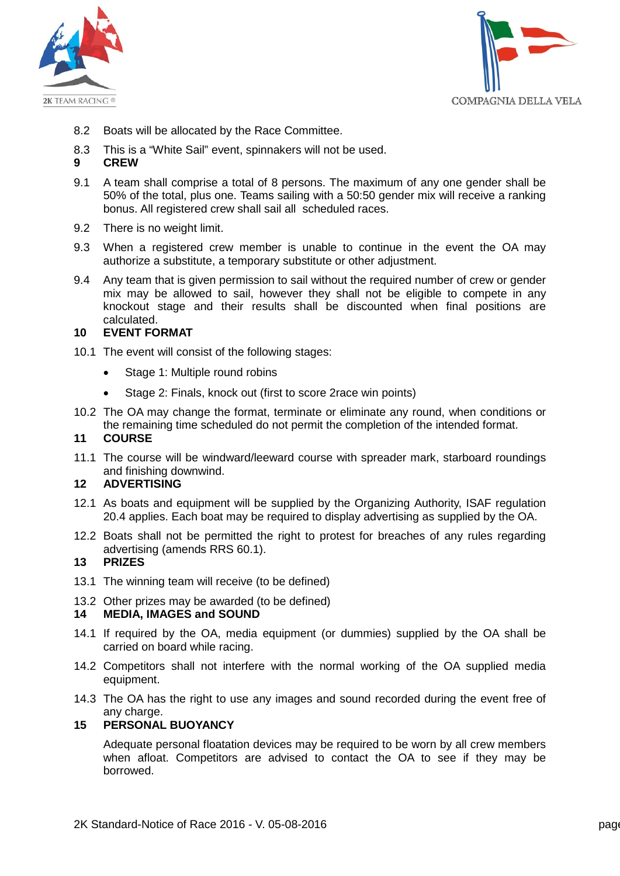



- 8.2 Boats will be allocated by the Race Committee.
- 8.3 This is a "White Sail" event, spinnakers will not be used.
- **9 CREW**
- 9.1 A team shall comprise a total of 8 persons. The maximum of any one gender shall be 50% of the total, plus one. Teams sailing with a 50:50 gender mix will receive a ranking bonus. All registered crew shall sail all scheduled races.
- 9.2 There is no weight limit.
- 9.3 When a registered crew member is unable to continue in the event the OA may authorize a substitute, a temporary substitute or other adjustment.
- 9.4 Any team that is given permission to sail without the required number of crew or gender mix may be allowed to sail, however they shall not be eligible to compete in any knockout stage and their results shall be discounted when final positions are calculated.

#### **10 EVENT FORMAT**

- 10.1 The event will consist of the following stages:
	- Stage 1: Multiple round robins
	- Stage 2: Finals, knock out (first to score 2race win points)
- 10.2 The OA may change the format, terminate or eliminate any round, when conditions or the remaining time scheduled do not permit the completion of the intended format.

#### **11 COURSE**

11.1 The course will be windward/leeward course with spreader mark, starboard roundings and finishing downwind.

# **12 ADVERTISING**

- 12.1 As boats and equipment will be supplied by the Organizing Authority, ISAF regulation 20.4 applies. Each boat may be required to display advertising as supplied by the OA.
- 12.2 Boats shall not be permitted the right to protest for breaches of any rules regarding advertising (amends RRS 60.1).

### **13 PRIZES**

13.1 The winning team will receive (to be defined)

#### 13.2 Other prizes may be awarded (to be defined)

#### **14 MEDIA, IMAGES and SOUND**

- 14.1 If required by the OA, media equipment (or dummies) supplied by the OA shall be carried on board while racing.
- 14.2 Competitors shall not interfere with the normal working of the OA supplied media equipment.
- 14.3 The OA has the right to use any images and sound recorded during the event free of any charge.

#### **15 PERSONAL BUOYANCY**

Adequate personal floatation devices may be required to be worn by all crew members when afloat. Competitors are advised to contact the OA to see if they may be borrowed.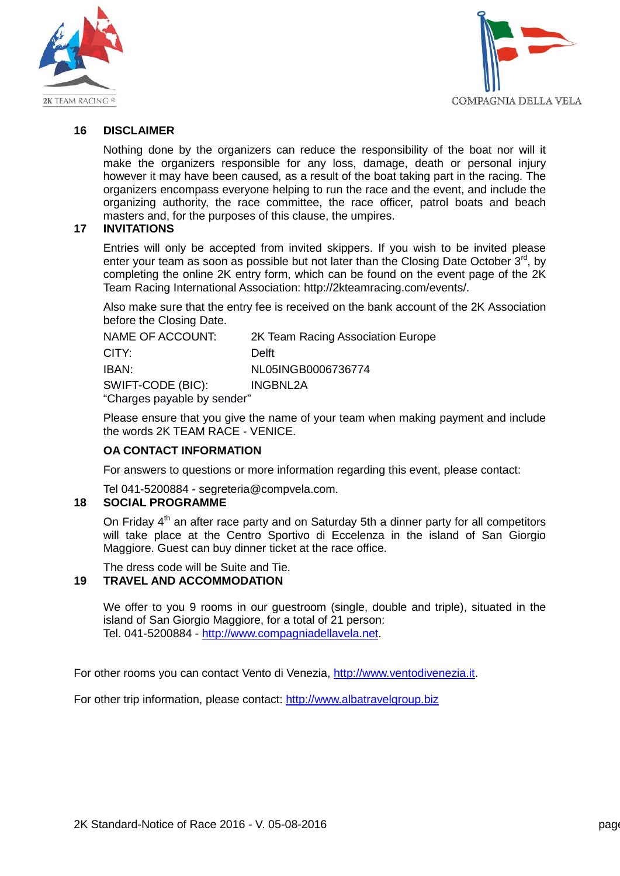



### **16 DISCLAIMER**

Nothing done by the organizers can reduce the responsibility of the boat nor will it make the organizers responsible for any loss, damage, death or personal injury however it may have been caused, as a result of the boat taking part in the racing. The organizers encompass everyone helping to run the race and the event, and include the organizing authority, the race committee, the race officer, patrol boats and beach masters and, for the purposes of this clause, the umpires.

#### **17 INVITATIONS**

Entries will only be accepted from invited skippers. If you wish to be invited please enter your team as soon as possible but not later than the Closing Date October  $3<sup>rd</sup>$ , by completing the online 2K entry form, which can be found on the event page of the 2K Team Racing International Association: [http://2kteamracing.com/events/.](http://2kteamracing.com/events/)

Also make sure that the entry fee is received on the bank account of the 2K Association before the Closing Date.

| NAME OF ACCOUNT:            | 2K Team Racing Association Europe |
|-----------------------------|-----------------------------------|
| CITY:                       | Delft                             |
| IBAN:                       | NL05INGB0006736774                |
| SWIFT-CODE (BIC):           | INGBNL2A                          |
| "Charges payable by sender" |                                   |

Please ensure that you give the name of your team when making payment and include the words 2K TEAM RACE - VENICE.

#### **OA CONTACT INFORMATION**

For answers to questions or more information regarding this event, please contact:

Tel 041-5200884 - segreteria@compvela.com.

#### **18 SOCIAL PROGRAMME**

On Friday  $4<sup>th</sup>$  an after race party and on Saturday 5th a dinner party for all competitors will take place at the Centro Sportivo di Eccelenza in the island of San Giorgio Maggiore. Guest can buy dinner ticket at the race office.

The dress code will be Suite and Tie.

# **19 TRAVEL AND ACCOMMODATION**

We offer to you 9 rooms in our guestroom (single, double and triple), situated in the island of San Giorgio Maggiore, for a total of 21 person: Tel. 041-5200884 - [http://www.compagniadellavela.net.](http://www.compagniadellavela.net/)

For other rooms you can contact Vento di Venezia, [http://www.ventodivenezia.it.](http://www.ventodivenezia.it/)

For other trip information, please contact: [http://www.albatravelgroup.biz](http://www.albatravelgroup.biz/)